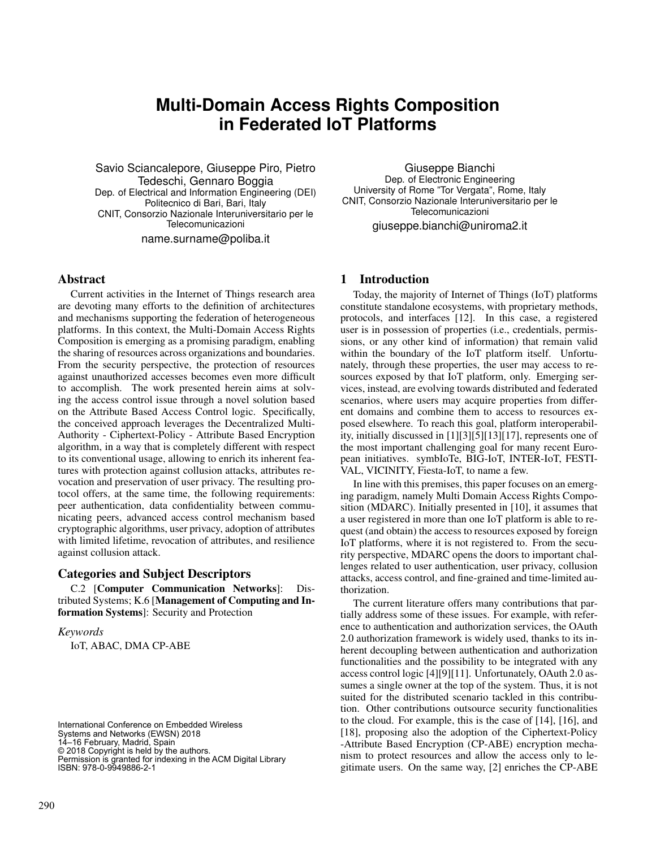# **Multi-Domain Access Rights Composition in Federated IoT Platforms**

Savio Sciancalepore, Giuseppe Piro, Pietro Tedeschi, Gennaro Boggia Dep. of Electrical and Information Engineering (DEI) Politecnico di Bari, Bari, Italy CNIT, Consorzio Nazionale Interuniversitario per le Telecomunicazioni name.surname@poliba.it

Giuseppe Bianchi Dep. of Electronic Engineering University of Rome "Tor Vergata", Rome, Italy CNIT, Consorzio Nazionale Interuniversitario per le Telecomunicazioni giuseppe.bianchi@uniroma2.it

# Abstract

Current activities in the Internet of Things research area are devoting many efforts to the definition of architectures and mechanisms supporting the federation of heterogeneous platforms. In this context, the Multi-Domain Access Rights Composition is emerging as a promising paradigm, enabling the sharing of resources across organizations and boundaries. From the security perspective, the protection of resources against unauthorized accesses becomes even more difficult to accomplish. The work presented herein aims at solving the access control issue through a novel solution based on the Attribute Based Access Control logic. Specifically, the conceived approach leverages the Decentralized Multi-Authority - Ciphertext-Policy - Attribute Based Encryption algorithm, in a way that is completely different with respect to its conventional usage, allowing to enrich its inherent features with protection against collusion attacks, attributes revocation and preservation of user privacy. The resulting protocol offers, at the same time, the following requirements: peer authentication, data confidentiality between communicating peers, advanced access control mechanism based cryptographic algorithms, user privacy, adoption of attributes with limited lifetime, revocation of attributes, and resilience against collusion attack.

# Categories and Subject Descriptors

C.2 [Computer Communication Networks]: Distributed Systems; K.6 [Management of Computing and Information Systems]: Security and Protection

#### *Keywords*

IoT, ABAC, DMA CP-ABE

International Conference on Embedded Wireless Systems and Networks (EWSN) 2018 14–16 February, Madrid, Spain © 2018 Copyright is held by the authors. Permission is granted for indexing in the ACM Digital Library ISBN: 978-0-9949886-2-1

# 1 Introduction

Today, the majority of Internet of Things (IoT) platforms constitute standalone ecosystems, with proprietary methods, protocols, and interfaces [12]. In this case, a registered user is in possession of properties (i.e., credentials, permissions, or any other kind of information) that remain valid within the boundary of the IoT platform itself. Unfortunately, through these properties, the user may access to resources exposed by that IoT platform, only. Emerging services, instead, are evolving towards distributed and federated scenarios, where users may acquire properties from different domains and combine them to access to resources exposed elsewhere. To reach this goal, platform interoperability, initially discussed in [1][3][5][13][17], represents one of the most important challenging goal for many recent European initiatives. symbIoTe, BIG-IoT, INTER-IoT, FESTI-VAL, VICINITY, Fiesta-IoT, to name a few.

In line with this premises, this paper focuses on an emerging paradigm, namely Multi Domain Access Rights Composition (MDARC). Initially presented in [10], it assumes that a user registered in more than one IoT platform is able to request (and obtain) the access to resources exposed by foreign IoT platforms, where it is not registered to. From the security perspective, MDARC opens the doors to important challenges related to user authentication, user privacy, collusion attacks, access control, and fine-grained and time-limited authorization.

The current literature offers many contributions that partially address some of these issues. For example, with reference to authentication and authorization services, the OAuth 2.0 authorization framework is widely used, thanks to its inherent decoupling between authentication and authorization functionalities and the possibility to be integrated with any access control logic [4][9][11]. Unfortunately, OAuth 2.0 assumes a single owner at the top of the system. Thus, it is not suited for the distributed scenario tackled in this contribution. Other contributions outsource security functionalities to the cloud. For example, this is the case of [14], [16], and [18], proposing also the adoption of the Ciphertext-Policy -Attribute Based Encryption (CP-ABE) encryption mechanism to protect resources and allow the access only to legitimate users. On the same way, [2] enriches the CP-ABE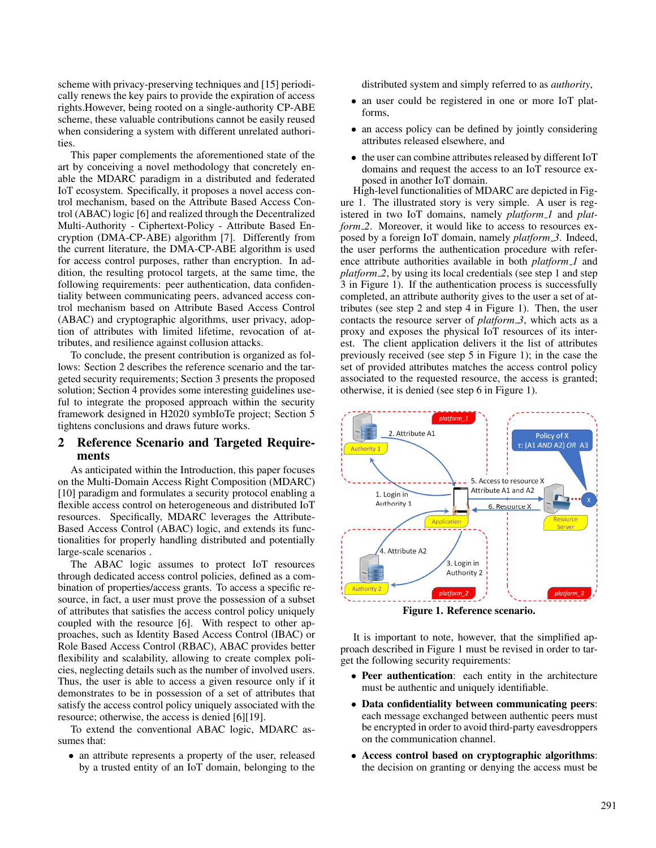scheme with privacy-preserving techniques and [15] periodically renews the key pairs to provide the expiration of access rights.However, being rooted on a single-authority CP-ABE scheme, these valuable contributions cannot be easily reused when considering a system with different unrelated authorities.

This paper complements the aforementioned state of the art by conceiving a novel methodology that concretely enable the MDARC paradigm in a distributed and federated IoT ecosystem. Specifically, it proposes a novel access control mechanism, based on the Attribute Based Access Control (ABAC) logic [6] and realized through the Decentralized Multi-Authority - Ciphertext-Policy - Attribute Based Encryption (DMA-CP-ABE) algorithm [7]. Differently from the current literature, the DMA-CP-ABE algorithm is used for access control purposes, rather than encryption. In addition, the resulting protocol targets, at the same time, the following requirements: peer authentication, data confidentiality between communicating peers, advanced access control mechanism based on Attribute Based Access Control (ABAC) and cryptographic algorithms, user privacy, adoption of attributes with limited lifetime, revocation of attributes, and resilience against collusion attacks.

To conclude, the present contribution is organized as follows: Section 2 describes the reference scenario and the targeted security requirements; Section 3 presents the proposed solution; Section 4 provides some interesting guidelines useful to integrate the proposed approach within the security framework designed in H2020 symbIoTe project; Section 5 tightens conclusions and draws future works.

# 2 Reference Scenario and Targeted Requirements

As anticipated within the Introduction, this paper focuses on the Multi-Domain Access Right Composition (MDARC) [10] paradigm and formulates a security protocol enabling a flexible access control on heterogeneous and distributed IoT resources. Specifically, MDARC leverages the Attribute-Based Access Control (ABAC) logic, and extends its functionalities for properly handling distributed and potentially large-scale scenarios .

The ABAC logic assumes to protect IoT resources through dedicated access control policies, defined as a combination of properties/access grants. To access a specific resource, in fact, a user must prove the possession of a subset of attributes that satisfies the access control policy uniquely coupled with the resource [6]. With respect to other approaches, such as Identity Based Access Control (IBAC) or Role Based Access Control (RBAC), ABAC provides better flexibility and scalability, allowing to create complex policies, neglecting details such as the number of involved users. Thus, the user is able to access a given resource only if it demonstrates to be in possession of a set of attributes that satisfy the access control policy uniquely associated with the resource; otherwise, the access is denied [6][19].

To extend the conventional ABAC logic, MDARC assumes that:

• an attribute represents a property of the user, released by a trusted entity of an IoT domain, belonging to the

distributed system and simply referred to as *authority*,

- an user could be registered in one or more IoT platforms,
- an access policy can be defined by jointly considering attributes released elsewhere, and
- the user can combine attributes released by different IoT domains and request the access to an IoT resource exposed in another IoT domain.

High-level functionalities of MDARC are depicted in Figure 1. The illustrated story is very simple. A user is registered in two IoT domains, namely *platform 1* and *platform\_2.* Moreover, it would like to access to resources exposed by a foreign IoT domain, namely *platform 3*. Indeed, the user performs the authentication procedure with reference attribute authorities available in both *platform 1* and *platform 2*, by using its local credentials (see step 1 and step 3 in Figure 1). If the authentication process is successfully completed, an attribute authority gives to the user a set of attributes (see step 2 and step 4 in Figure 1). Then, the user contacts the resource server of *platform 3*, which acts as a proxy and exposes the physical IoT resources of its interest. The client application delivers it the list of attributes previously received (see step 5 in Figure 1); in the case the set of provided attributes matches the access control policy associated to the requested resource, the access is granted; otherwise, it is denied (see step 6 in Figure 1).



Figure 1. Reference scenario.

It is important to note, however, that the simplified approach described in Figure 1 must be revised in order to target the following security requirements:

- Peer authentication: each entity in the architecture must be authentic and uniquely identifiable.
- Data confidentiality between communicating peers: each message exchanged between authentic peers must be encrypted in order to avoid third-party eavesdroppers on the communication channel.
- Access control based on cryptographic algorithms: the decision on granting or denying the access must be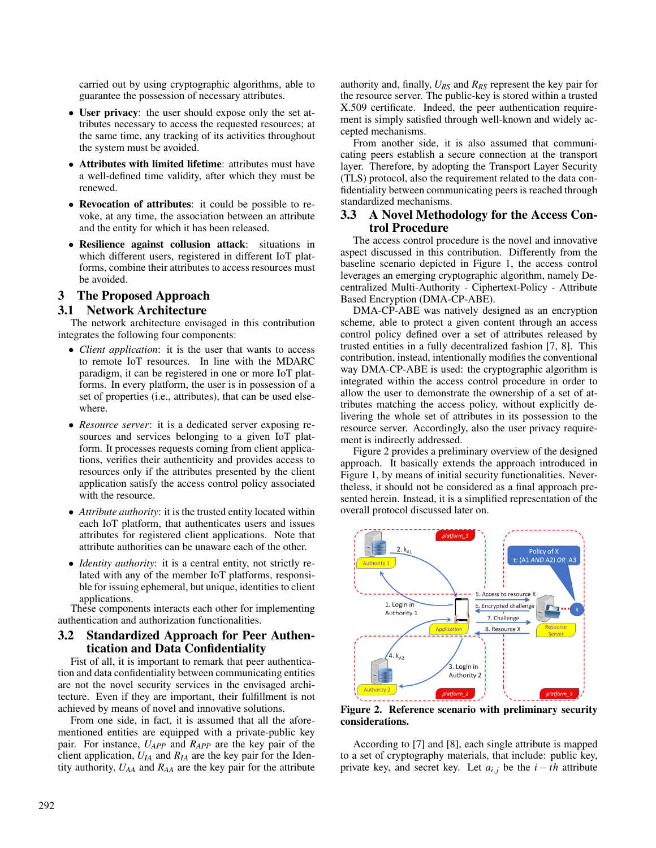carried out by using cryptographic algorithms, able to guarantee the possession of necessary attributes.

- User privacy: the user should expose only the set attributes necessary to access the requested resources; at the same time, any tracking of its activities throughout the system must be avoided.
- Attributes with limited lifetime: attributes must have a well-defined time validity, after which they must be renewed.
- Revocation of attributes: it could be possible to revoke, at any time, the association between an attribute and the entity for which it has been released.
- Resilience against collusion attack: situations in which different users, registered in different IoT platforms, combine their attributes to access resources must be avoided.

# 3 The Proposed Approach

# 3.1 Network Architecture

The network architecture envisaged in this contribution integrates the following four components:

- *Client application*: it is the user that wants to access to remote IoT resources. In line with the MDARC paradigm, it can be registered in one or more IoT platforms. In every platform, the user is in possession of a set of properties (i.e., attributes), that can be used elsewhere.
- *Resource server*: it is a dedicated server exposing resources and services belonging to a given IoT platform. It processes requests coming from client applications, verifies their authenticity and provides access to resources only if the attributes presented by the client application satisfy the access control policy associated with the resource.
- *Attribute authority*: it is the trusted entity located within each IoT platform, that authenticates users and issues attributes for registered client applications. Note that attribute authorities can be unaware each of the other.
- *Identity authority*: it is a central entity, not strictly related with any of the member IoT platforms, responsible for issuing ephemeral, but unique, identities to client applications.

These components interacts each other for implementing authentication and authorization functionalities.

# 3.2 Standardized Approach for Peer Authentication and Data Confidentiality

Fist of all, it is important to remark that peer authentication and data confidentiality between communicating entities are not the novel security services in the envisaged architecture. Even if they are important, their fulfillment is not achieved by means of novel and innovative solutions.

From one side, in fact, it is assumed that all the aforementioned entities are equipped with a private-public key pair. For instance, *UAPP* and *RAPP* are the key pair of the client application,  $U_{IA}$  and  $R_{IA}$  are the key pair for the Identity authority, *UAA* and *RAA* are the key pair for the attribute authority and, finally, *URS* and *RRS* represent the key pair for the resource server. The public-key is stored within a trusted X.509 certificate. Indeed, the peer authentication requirement is simply satisfied through well-known and widely accepted mechanisms.

From another side, it is also assumed that communicating peers establish a secure connection at the transport layer. Therefore, by adopting the Transport Layer Security (TLS) protocol, also the requirement related to the data confidentiality between communicating peers is reached through standardized mechanisms.

# 3.3 A Novel Methodology for the Access Control Procedure

The access control procedure is the novel and innovative aspect discussed in this contribution. Differently from the baseline scenario depicted in Figure 1, the access control leverages an emerging cryptographic algorithm, namely Decentralized Multi-Authority - Ciphertext-Policy - Attribute Based Encryption (DMA-CP-ABE).

DMA-CP-ABE was natively designed as an encryption scheme, able to protect a given content through an access control policy defined over a set of attributes released by trusted entities in a fully decentralized fashion [7, 8]. This contribution, instead, intentionally modifies the conventional way DMA-CP-ABE is used: the cryptographic algorithm is integrated within the access control procedure in order to allow the user to demonstrate the ownership of a set of attributes matching the access policy, without explicitly delivering the whole set of attributes in its possession to the resource server. Accordingly, also the user privacy requirement is indirectly addressed.

Figure 2 provides a preliminary overview of the designed approach. It basically extends the approach introduced in Figure 1, by means of initial security functionalities. Nevertheless, it should not be considered as a final approach presented herein. Instead, it is a simplified representation of the overall protocol discussed later on.



Figure 2. Reference scenario with preliminary security considerations.

According to [7] and [8], each single attribute is mapped to a set of cryptography materials, that include: public key, private key, and secret key. Let  $a_{i,j}$  be the  $i - th$  attribute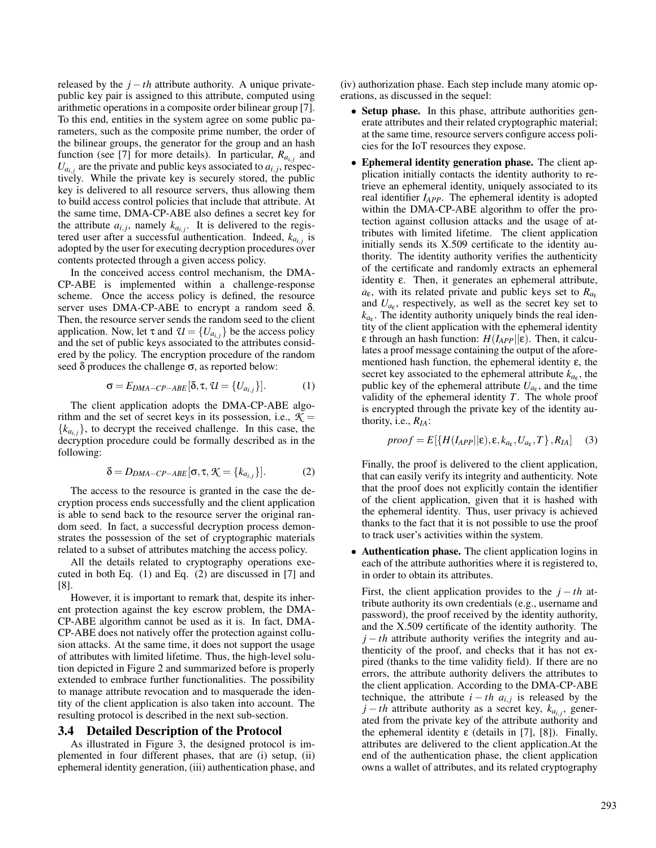released by the  $j - th$  attribute authority. A unique privatepublic key pair is assigned to this attribute, computed using arithmetic operations in a composite order bilinear group [7]. To this end, entities in the system agree on some public parameters, such as the composite prime number, the order of the bilinear groups, the generator for the group and an hash function (see [7] for more details). In particular,  $R_{a_{i,j}}$  and  $U_{a_{i,j}}$  are the private and public keys associated to  $a_{i,j}$ , respectively. While the private key is securely stored, the public key is delivered to all resource servers, thus allowing them to build access control policies that include that attribute. At the same time, DMA-CP-ABE also defines a secret key for the attribute  $a_{i,j}$ , namely  $k_{a_{i,j}}$ . It is delivered to the registered user after a successful authentication. Indeed,  $k_{a_{i,j}}$  is adopted by the user for executing decryption procedures over contents protected through a given access policy.

In the conceived access control mechanism, the DMA-CP-ABE is implemented within a challenge-response scheme. Once the access policy is defined, the resource server uses DMA-CP-ABE to encrypt a random seed  $\delta$ . Then, the resource server sends the random seed to the client application. Now, let  $\tau$  and  $\mathcal{U} = \{U_{a_{i,j}}\}$  be the access policy and the set of public keys associated to the attributes considered by the policy. The encryption procedure of the random seed  $\delta$  produces the challenge  $\sigma$ , as reported below:

$$
\sigma = E_{DMA-CP-ABE}[\delta, \tau, \mathcal{U} = \{U_{a_{i,j}}\}].
$$
 (1)

The client application adopts the DMA-CP-ABE algorithm and the set of secret keys in its possession, i.e.,  $K =$  ${k_{a_{i,j}}}$ , to decrypt the received challenge. In this case, the decryption procedure could be formally described as in the following:

$$
\delta = D_{DMA-CP-ABE}[\sigma, \tau, \mathcal{K} = \{k_{a_{i,j}}\}].
$$
 (2)

The access to the resource is granted in the case the decryption process ends successfully and the client application is able to send back to the resource server the original random seed. In fact, a successful decryption process demonstrates the possession of the set of cryptographic materials related to a subset of attributes matching the access policy.

All the details related to cryptography operations executed in both Eq. (1) and Eq. (2) are discussed in [7] and [8].

However, it is important to remark that, despite its inherent protection against the key escrow problem, the DMA-CP-ABE algorithm cannot be used as it is. In fact, DMA-CP-ABE does not natively offer the protection against collusion attacks. At the same time, it does not support the usage of attributes with limited lifetime. Thus, the high-level solution depicted in Figure 2 and summarized before is properly extended to embrace further functionalities. The possibility to manage attribute revocation and to masquerade the identity of the client application is also taken into account. The resulting protocol is described in the next sub-section.

### 3.4 Detailed Description of the Protocol

As illustrated in Figure 3, the designed protocol is implemented in four different phases, that are (i) setup, (ii) ephemeral identity generation, (iii) authentication phase, and (iv) authorization phase. Each step include many atomic operations, as discussed in the sequel:

- Setup phase. In this phase, attribute authorities generate attributes and their related cryptographic material; at the same time, resource servers configure access policies for the IoT resources they expose.
- Ephemeral identity generation phase. The client application initially contacts the identity authority to retrieve an ephemeral identity, uniquely associated to its real identifier *IAPP*. The ephemeral identity is adopted within the DMA-CP-ABE algorithm to offer the protection against collusion attacks and the usage of attributes with limited lifetime. The client application initially sends its X.509 certificate to the identity authority. The identity authority verifies the authenticity of the certificate and randomly extracts an ephemeral identity ε. Then, it generates an ephemeral attribute,  $a_{\varepsilon}$ , with its related private and public keys set to  $R_{a_{\varepsilon}}$ and  $U_{a_{\varepsilon}}$ , respectively, as well as the secret key set to  $k_{a_{\varepsilon}}$ . The identity authority uniquely binds the real identity of the client application with the ephemeral identity ε through an hash function: *H*(*IAPP*||ε). Then, it calculates a proof message containing the output of the aforementioned hash function, the ephemeral identity  $\varepsilon$ , the secret key associated to the ephemeral attribute  $k_{a_{\epsilon}}$ , the public key of the ephemeral attribute  $U_{a_{\varepsilon}}$ , and the time validity of the ephemeral identity *T*. The whole proof is encrypted through the private key of the identity authority, i.e., *RIA*:

$$
proof = E[{H(I_{APP}||\varepsilon), \varepsilon, k_{a_{\varepsilon}}, U_{a_{\varepsilon}}, T}, R_{IA}] \quad (3)
$$

Finally, the proof is delivered to the client application, that can easily verify its integrity and authenticity. Note that the proof does not explicitly contain the identifier of the client application, given that it is hashed with the ephemeral identity. Thus, user privacy is achieved thanks to the fact that it is not possible to use the proof to track user's activities within the system.

• Authentication phase. The client application logins in each of the attribute authorities where it is registered to, in order to obtain its attributes.

First, the client application provides to the *j* − *th* attribute authority its own credentials (e.g., username and password), the proof received by the identity authority, and the X.509 certificate of the identity authority. The  $j - th$  attribute authority verifies the integrity and authenticity of the proof, and checks that it has not expired (thanks to the time validity field). If there are no errors, the attribute authority delivers the attributes to the client application. According to the DMA-CP-ABE technique, the attribute  $i - th$   $a_{i,j}$  is released by the *j* − *th* attribute authority as a secret key,  $k_{a_{i,j}}$ , generated from the private key of the attribute authority and the ephemeral identity  $\varepsilon$  (details in [7], [8]). Finally, attributes are delivered to the client application.At the end of the authentication phase, the client application owns a wallet of attributes, and its related cryptography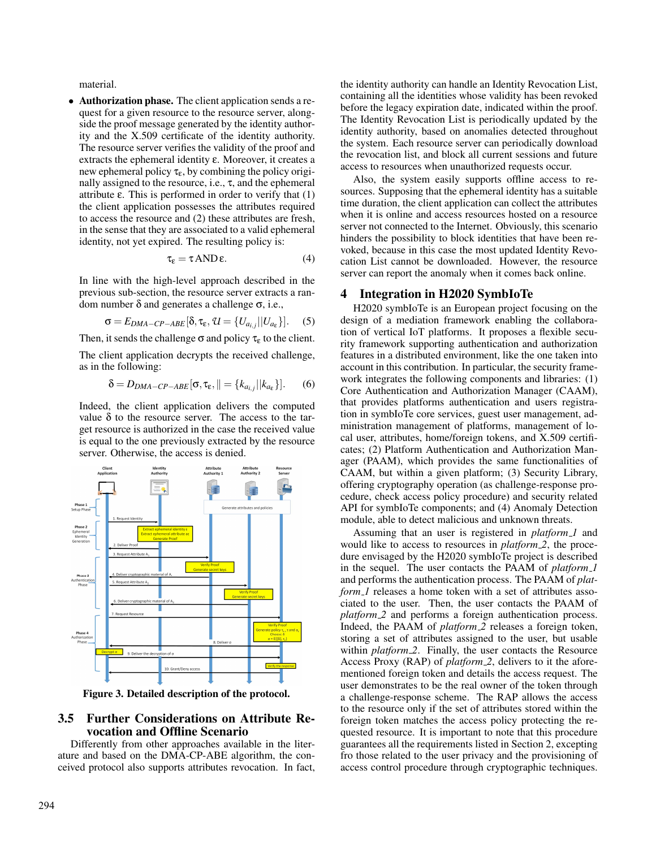material.

• Authorization phase. The client application sends a request for a given resource to the resource server, alongside the proof message generated by the identity authority and the X.509 certificate of the identity authority. The resource server verifies the validity of the proof and extracts the ephemeral identity ε. Moreover, it creates a new ephemeral policy  $\tau_{\varepsilon}$ , by combining the policy originally assigned to the resource, i.e., τ, and the ephemeral attribute  $\varepsilon$ . This is performed in order to verify that  $(1)$ the client application possesses the attributes required to access the resource and (2) these attributes are fresh, in the sense that they are associated to a valid ephemeral identity, not yet expired. The resulting policy is:

$$
\tau_{\varepsilon} = \tau \operatorname{AND} \varepsilon. \tag{4}
$$

In line with the high-level approach described in the previous sub-section, the resource server extracts a random number δ and generates a challenge σ, i.e.,

$$
\sigma = E_{DMA-CP-ABE}[\delta, \tau_{\varepsilon}, \mathcal{U} = \{U_{a_{i,j}}||U_{a_{\varepsilon}}\}].
$$
 (5)

Then, it sends the challenge  $\sigma$  and policy  $\tau_{\epsilon}$  to the client.

The client application decrypts the received challenge, as in the following:

$$
\delta = D_{DMA-CP-ABE}[\sigma, \tau_{\varepsilon}, || = \{k_{a_{i,j}} || k_{a_{\varepsilon}}\}].
$$
 (6)

Indeed, the client application delivers the computed value δ to the resource server. The access to the target resource is authorized in the case the received value is equal to the one previously extracted by the resource server. Otherwise, the access is denied.



Figure 3. Detailed description of the protocol.

# 3.5 Further Considerations on Attribute Revocation and Offline Scenario

Differently from other approaches available in the literature and based on the DMA-CP-ABE algorithm, the conceived protocol also supports attributes revocation. In fact,

the identity authority can handle an Identity Revocation List, containing all the identities whose validity has been revoked before the legacy expiration date, indicated within the proof. The Identity Revocation List is periodically updated by the identity authority, based on anomalies detected throughout the system. Each resource server can periodically download the revocation list, and block all current sessions and future access to resources when unauthorized requests occur.

Also, the system easily supports offline access to resources. Supposing that the ephemeral identity has a suitable time duration, the client application can collect the attributes when it is online and access resources hosted on a resource server not connected to the Internet. Obviously, this scenario hinders the possibility to block identities that have been revoked, because in this case the most updated Identity Revocation List cannot be downloaded. However, the resource server can report the anomaly when it comes back online.

# 4 Integration in H2020 SymbIoTe

H2020 symbIoTe is an European project focusing on the design of a mediation framework enabling the collaboration of vertical IoT platforms. It proposes a flexible security framework supporting authentication and authorization features in a distributed environment, like the one taken into account in this contribution. In particular, the security framework integrates the following components and libraries: (1) Core Authentication and Authorization Manager (CAAM), that provides platforms authentication and users registration in symbIoTe core services, guest user management, administration management of platforms, management of local user, attributes, home/foreign tokens, and X.509 certificates; (2) Platform Authentication and Authorization Manager (PAAM), which provides the same functionalities of CAAM, but within a given platform; (3) Security Library, offering cryptography operation (as challenge-response procedure, check access policy procedure) and security related API for symbIoTe components; and (4) Anomaly Detection module, able to detect malicious and unknown threats.

Assuming that an user is registered in *platform 1* and would like to access to resources in *platform 2*, the procedure envisaged by the H2020 symbIoTe project is described in the sequel. The user contacts the PAAM of *platform 1* and performs the authentication process. The PAAM of *platform\_1* releases a home token with a set of attributes associated to the user. Then, the user contacts the PAAM of *platform* 2 and performs a foreign authentication process. Indeed, the PAAM of *platform 2* releases a foreign token, storing a set of attributes assigned to the user, but usable within *platform\_2*. Finally, the user contacts the Resource Access Proxy (RAP) of *platform 2*, delivers to it the aforementioned foreign token and details the access request. The user demonstrates to be the real owner of the token through a challenge-response scheme. The RAP allows the access to the resource only if the set of attributes stored within the foreign token matches the access policy protecting the requested resource. It is important to note that this procedure guarantees all the requirements listed in Section 2, excepting fro those related to the user privacy and the provisioning of access control procedure through cryptographic techniques.